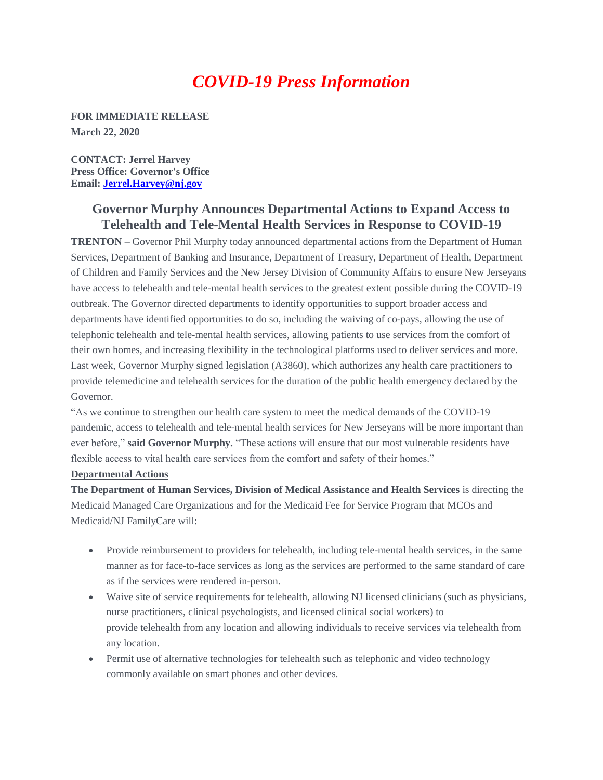# *COVID-19 Press Information*

**FOR IMMEDIATE RELEASE March 22, 2020** 

**CONTACT: Jerrel Harvey Press Office: Governor's Office Email: [Jerrel.Harvey@nj.gov](mailto:Jerrel.Harvey@nj.gov)**

## **Governor Murphy Announces Departmental Actions to Expand Access to Telehealth and Tele-Mental Health Services in Response to COVID-19**

**TRENTON** – Governor Phil Murphy today announced departmental actions from the Department of Human Services, Department of Banking and Insurance, Department of Treasury, Department of Health, Department of Children and Family Services and the New Jersey Division of Community Affairs to ensure New Jerseyans have access to telehealth and tele-mental health services to the greatest extent possible during the COVID-19 outbreak. The Governor directed departments to identify opportunities to support broader access and departments have identified opportunities to do so, including the waiving of co-pays, allowing the use of telephonic telehealth and tele-mental health services, allowing patients to use services from the comfort of their own homes, and increasing flexibility in the technological platforms used to deliver services and more. Last week, Governor Murphy signed legislation (A3860), which authorizes any health care practitioners to provide telemedicine and telehealth services for the duration of the public health emergency declared by the Governor.

"As we continue to strengthen our health care system to meet the medical demands of the COVID-19 pandemic, access to telehealth and tele-mental health services for New Jerseyans will be more important than ever before," **said Governor Murphy.** "These actions will ensure that our most vulnerable residents have flexible access to vital health care services from the comfort and safety of their homes."

#### **Departmental Actions**

**The Department of Human Services, Division of Medical Assistance and Health Services** is directing the Medicaid Managed Care Organizations and for the Medicaid Fee for Service Program that MCOs and Medicaid/NJ FamilyCare will:

- Provide reimbursement to providers for telehealth, including tele-mental health services, in the same manner as for face-to-face services as long as the services are performed to the same standard of care as if the services were rendered in-person.
- Waive site of service requirements for telehealth, allowing NJ licensed clinicians (such as physicians, nurse practitioners, clinical psychologists, and licensed clinical social workers) to provide telehealth from any location and allowing individuals to receive services via telehealth from any location.
- Permit use of alternative technologies for telehealth such as telephonic and video technology commonly available on smart phones and other devices.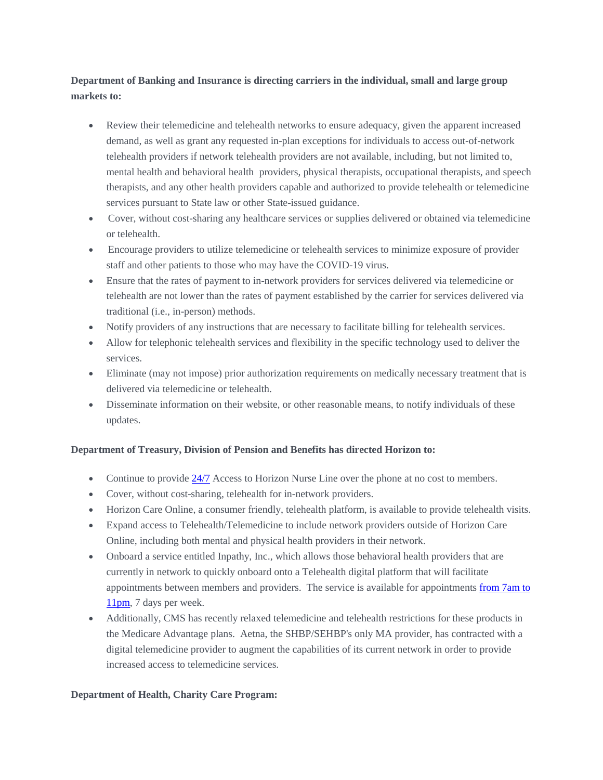### **Department of Banking and Insurance is directing carriers in the individual, small and large group markets to:**

- Review their telemedicine and telehealth networks to ensure adequacy, given the apparent increased demand, as well as grant any requested in-plan exceptions for individuals to access out-of-network telehealth providers if network telehealth providers are not available, including, but not limited to, mental health and behavioral health providers, physical therapists, occupational therapists, and speech therapists, and any other health providers capable and authorized to provide telehealth or telemedicine services pursuant to State law or other State-issued guidance.
- Cover, without cost-sharing any healthcare services or supplies delivered or obtained via telemedicine or telehealth.
- Encourage providers to utilize telemedicine or telehealth services to minimize exposure of provider staff and other patients to those who may have the COVID-19 virus.
- Ensure that the rates of payment to in-network providers for services delivered via telemedicine or telehealth are not lower than the rates of payment established by the carrier for services delivered via traditional (i.e., in-person) methods.
- Notify providers of any instructions that are necessary to facilitate billing for telehealth services.
- Allow for telephonic telehealth services and flexibility in the specific technology used to deliver the services.
- Eliminate (may not impose) prior authorization requirements on medically necessary treatment that is delivered via telemedicine or telehealth.
- Disseminate information on their website, or other reasonable means, to notify individuals of these updates.

#### **Department of Treasury, Division of Pension and Benefits has directed Horizon to:**

- Continue to provide [24/7](x-apple-data-detectors://8/) Access to Horizon Nurse Line over the phone at no cost to members.
- Cover, without cost-sharing, telehealth for in-network providers.
- Horizon Care Online, a consumer friendly, telehealth platform, is available to provide telehealth visits.
- Expand access to Telehealth/Telemedicine to include network providers outside of Horizon Care Online, including both mental and physical health providers in their network.
- Onboard a service entitled Inpathy, Inc., which allows those behavioral health providers that are currently in network to quickly onboard onto a Telehealth digital platform that will facilitate appointments between members and providers. The service is available for appointments [from 7am to](x-apple-data-detectors://9/)  [11pm,](x-apple-data-detectors://9/) 7 days per week.
- Additionally, CMS has recently relaxed telemedicine and telehealth restrictions for these products in the Medicare Advantage plans. Aetna, the SHBP/SEHBP's only MA provider, has contracted with a digital telemedicine provider to augment the capabilities of its current network in order to provide increased access to telemedicine services.

#### **Department of Health, Charity Care Program:**